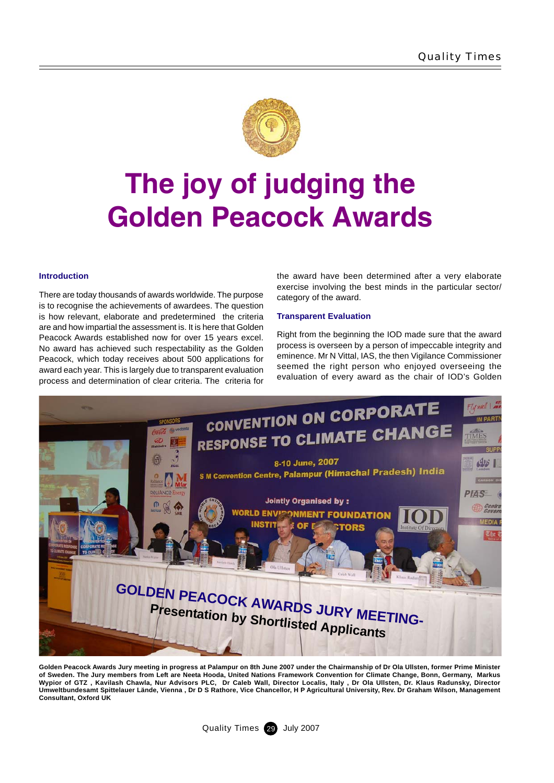

# **The joy of judging the Golden Peacock Awards**

### **Introduction**

There are today thousands of awards worldwide. The purpose is to recognise the achievements of awardees. The question is how relevant, elaborate and predetermined the criteria are and how impartial the assessment is. It is here that Golden Peacock Awards established now for over 15 years excel. No award has achieved such respectability as the Golden Peacock, which today receives about 500 applications for award each year. This is largely due to transparent evaluation process and determination of clear criteria. The criteria for

the award have been determined after a very elaborate exercise involving the best minds in the particular sector/ category of the award.

### **Transparent Evaluation**

Right from the beginning the IOD made sure that the award process is overseen by a person of impeccable integrity and eminence. Mr N Vittal, IAS, the then Vigilance Commissioner seemed the right person who enjoyed overseeing the evaluation of every award as the chair of IOD's Golden



**Golden Peacock Awards Jury meeting in progress at Palampur on 8th June 2007 under the Chairmanship of Dr Ola Ullsten, former Prime Minister of Sweden. The Jury members from Left are Neeta Hooda, United Nations Framework Convention for Climate Change, Bonn, Germany, Markus Wypior of GTZ , Kavilash Chawla, Nur Advisors PLC, Dr Caleb Wall, Director Localis, Italy , Dr Ola Ullsten, Dr. Klaus Radunsky, Director Umweltbundesamt Spittelauer Lände, Vienna , Dr D S Rathore, Vice Chancellor, H P Agricultural University, Rev. Dr Graham Wilson, Management Consultant, Oxford UK**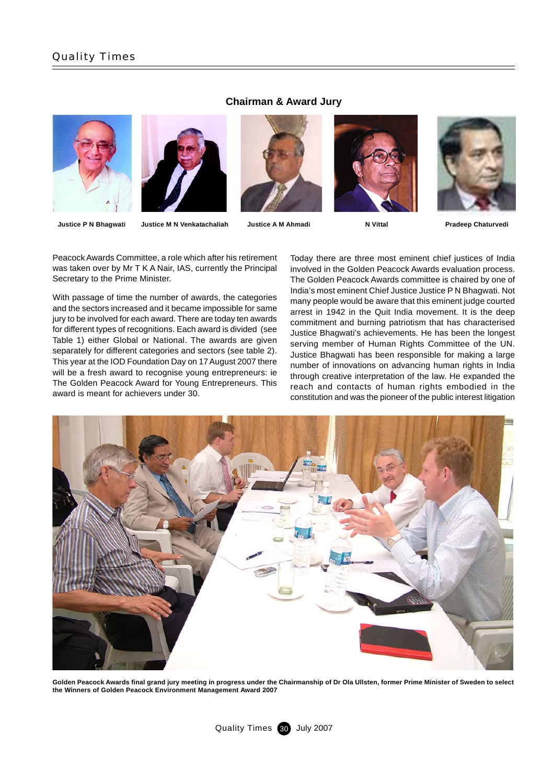



**Chairman & Award Jury**



**Justice P N Bhagwati Justice M N Venkatachaliah Justice A M Ahmadi N Vittal Pradeep Chaturvedi**

Peacock Awards Committee, a role which after his retirement was taken over by Mr T K A Nair, IAS, currently the Principal Secretary to the Prime Minister.

With passage of time the number of awards, the categories and the sectors increased and it became impossible for same jury to be involved for each award. There are today ten awards for different types of recognitions. Each award is divided (see Table 1) either Global or National. The awards are given separately for different categories and sectors (see table 2). This year at the IOD Foundation Day on 17 August 2007 there will be a fresh award to recognise young entrepreneurs: ie The Golden Peacock Award for Young Entrepreneurs. This award is meant for achievers under 30.

Today there are three most eminent chief justices of India involved in the Golden Peacock Awards evaluation process. The Golden Peacock Awards committee is chaired by one of India's most eminent Chief Justice Justice P N Bhagwati. Not many people would be aware that this eminent judge courted arrest in 1942 in the Quit India movement. It is the deep commitment and burning patriotism that has characterised Justice Bhagwati's achievements. He has been the longest serving member of Human Rights Committee of the UN. Justice Bhagwati has been responsible for making a large number of innovations on advancing human rights in India through creative interpretation of the law. He expanded the reach and contacts of human rights embodied in the constitution and was the pioneer of the public interest litigation



**Golden Peacock Awards final grand jury meeting in progress under the Chairmanship of Dr Ola Ullsten, former Prime Minister of Sweden to select the Winners of Golden Peacock Environment Management Award 2007**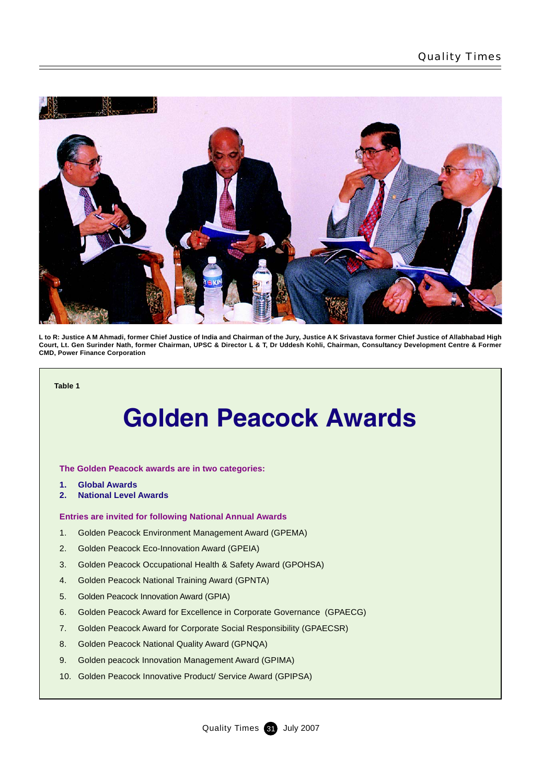

**L to R: Justice A M Ahmadi, former Chief Justice of India and Chairman of the Jury, Justice A K Srivastava former Chief Justice of Allabhabad High Court, Lt. Gen Surinder Nath, former Chairman, UPSC & Director L & T, Dr Uddesh Kohli, Chairman, Consultancy Development Centre & Former CMD, Power Finance Corporation**

**Table 1**

### **Golden Peacock Awards**

**The Golden Peacock awards are in two categories:**

- **1. Global Awards**
- **2. National Level Awards**

### **Entries are invited for following National Annual Awards**

- 1. Golden Peacock Environment Management Award (GPEMA)
- 2. Golden Peacock Eco-Innovation Award (GPEIA)
- 3. Golden Peacock Occupational Health & Safety Award (GPOHSA)
- 4. Golden Peacock National Training Award (GPNTA)
- 5. Golden Peacock Innovation Award (GPIA)
- 6. Golden Peacock Award for Excellence in Corporate Governance (GPAECG)
- 7. Golden Peacock Award for Corporate Social Responsibility (GPAECSR)
- 8. Golden Peacock National Quality Award (GPNQA)
- 9. Golden peacock Innovation Management Award (GPIMA)
- 10. Golden Peacock Innovative Product/ Service Award (GPIPSA)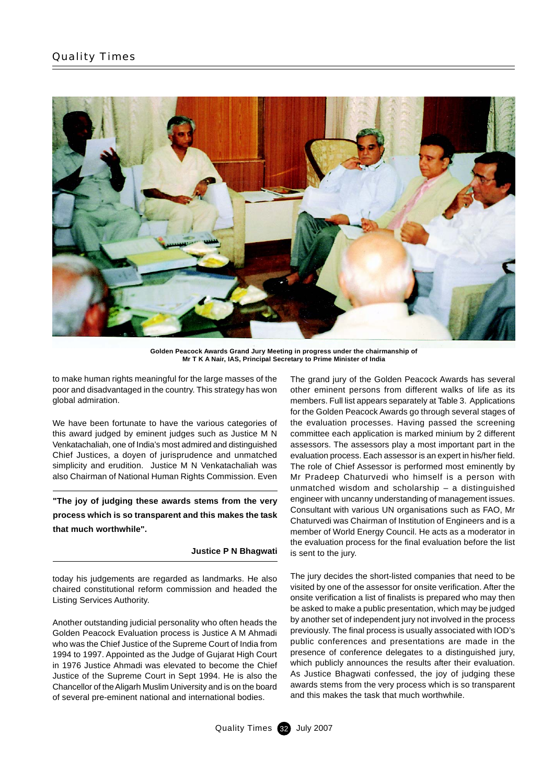

**Golden Peacock Awards Grand Jury Meeting in progress under the chairmanship of Mr T K A Nair, IAS, Principal Secretary to Prime Minister of India**

to make human rights meaningful for the large masses of the poor and disadvantaged in the country. This strategy has won global admiration.

We have been fortunate to have the various categories of this award judged by eminent judges such as Justice M N Venkatachaliah, one of India's most admired and distinguished Chief Justices, a doyen of jurisprudence and unmatched simplicity and erudition. Justice M N Venkatachaliah was also Chairman of National Human Rights Commission. Even

**"The joy of judging these awards stems from the very process which is so transparent and this makes the task that much worthwhile".**

### **Justice P N Bhagwati**

today his judgements are regarded as landmarks. He also chaired constitutional reform commission and headed the Listing Services Authority.

Another outstanding judicial personality who often heads the Golden Peacock Evaluation process is Justice A M Ahmadi who was the Chief Justice of the Supreme Court of India from 1994 to 1997. Appointed as the Judge of Gujarat High Court in 1976 Justice Ahmadi was elevated to become the Chief Justice of the Supreme Court in Sept 1994. He is also the Chancellor of the Aligarh Muslim University and is on the board of several pre-eminent national and international bodies.

The grand jury of the Golden Peacock Awards has several other eminent persons from different walks of life as its members. Full list appears separately at Table 3. Applications for the Golden Peacock Awards go through several stages of the evaluation processes. Having passed the screening committee each application is marked minium by 2 different assessors. The assessors play a most important part in the evaluation process. Each assessor is an expert in his/her field. The role of Chief Assessor is performed most eminently by Mr Pradeep Chaturvedi who himself is a person with unmatched wisdom and scholarship – a distinguished engineer with uncanny understanding of management issues. Consultant with various UN organisations such as FAO, Mr Chaturvedi was Chairman of Institution of Engineers and is a member of World Energy Council. He acts as a moderator in the evaluation process for the final evaluation before the list is sent to the jury.

The jury decides the short-listed companies that need to be visited by one of the assessor for onsite verification. After the onsite verification a list of finalists is prepared who may then be asked to make a public presentation, which may be judged by another set of independent jury not involved in the process previously. The final process is usually associated with IOD's public conferences and presentations are made in the presence of conference delegates to a distinguished jury, which publicly announces the results after their evaluation. As Justice Bhagwati confessed, the joy of judging these awards stems from the very process which is so transparent and this makes the task that much worthwhile.

Quality Times 32 July 2007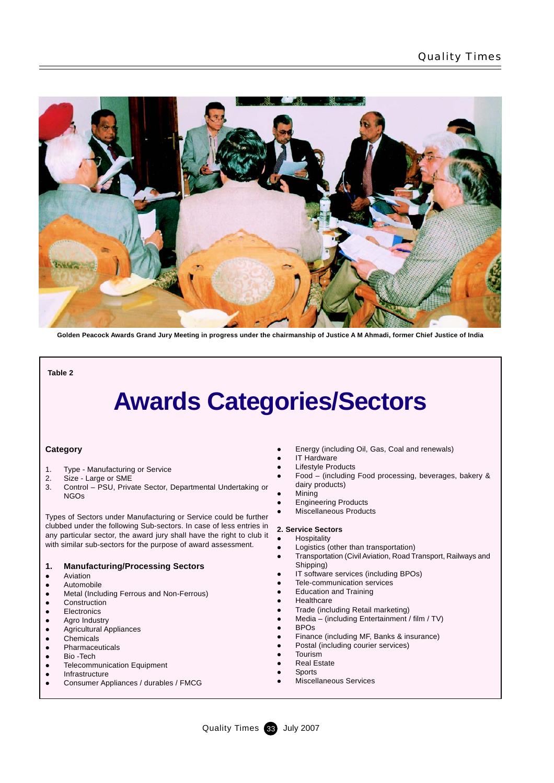

**Golden Peacock Awards Grand Jury Meeting in progress under the chairmanship of Justice A M Ahmadi, former Chief Justice of India**

**Table 2**

## **Awards Categories/Sectors**

### **Category**

- 1. Type Manufacturing or Service
- 2. Size Large or SME
- 3. Control PSU, Private Sector, Departmental Undertaking or NGOs

Types of Sectors under Manufacturing or Service could be further clubbed under the following Sub-sectors. In case of less entries in any particular sector, the award jury shall have the right to club it with similar sub-sectors for the purpose of award assessment.

### **1. Manufacturing/Processing Sectors**

- Aviation
- Automobile
- Metal (Including Ferrous and Non-Ferrous)
- Construction
- Electronics
- Agro Industry
- **•** Agricultural Appliances
- **a** Chemicals
- Pharmaceuticals **a** Bio -Tech
- **Telecommunication Equipment**
- $\bullet$  Infrastructure
- z Consumer Appliances / durables / FMCG
- Energy (including Oil, Gas, Coal and renewals)
- **IT Hardware**
- Lifestyle Products
- Food (including Food processing, beverages, bakery & dairy products)
- **Mining**
- Engineering Products
- Miscellaneous Products
- 

#### **2. Service Sectors** Hospitality

- 
- Logistics (other than transportation)
- z Transportation (Civil Aviation, Road Transport, Railways and Shipping)
- IT software services (including BPOs)
- Tele-communication services
- **Education and Training**
- Healthcare
- Trade (including Retail marketing)
- Media (including Entertainment / film / TV)
- **BPOs**
- Finance (including MF, Banks & insurance)
- Postal (including courier services)
- **Tourism** 
	- **Real Estate**
	- **Sports**
	- Miscellaneous Services